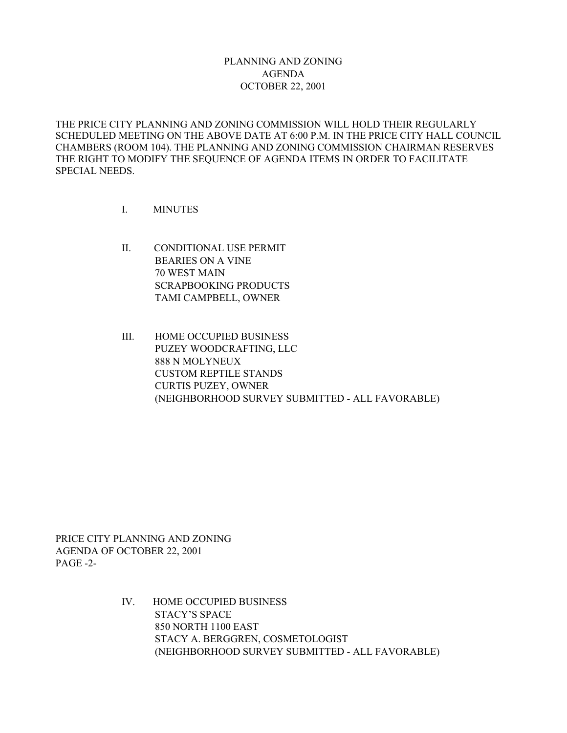## PLANNING AND ZONING AGENDA OCTOBER 22, 2001

THE PRICE CITY PLANNING AND ZONING COMMISSION WILL HOLD THEIR REGULARLY SCHEDULED MEETING ON THE ABOVE DATE AT 6:00 P.M. IN THE PRICE CITY HALL COUNCIL CHAMBERS (ROOM 104). THE PLANNING AND ZONING COMMISSION CHAIRMAN RESERVES THE RIGHT TO MODIFY THE SEQUENCE OF AGENDA ITEMS IN ORDER TO FACILITATE SPECIAL NEEDS.

- I. MINUTES
- II. CONDITIONAL USE PERMIT BEARIES ON A VINE 70 WEST MAIN SCRAPBOOKING PRODUCTS TAMI CAMPBELL, OWNER
- III. HOME OCCUPIED BUSINESS PUZEY WOODCRAFTING, LLC 888 N MOLYNEUX CUSTOM REPTILE STANDS CURTIS PUZEY, OWNER (NEIGHBORHOOD SURVEY SUBMITTED - ALL FAVORABLE)

PRICE CITY PLANNING AND ZONING AGENDA OF OCTOBER 22, 2001 PAGE -2-

> IV. HOME OCCUPIED BUSINESS STACY'S SPACE 850 NORTH 1100 EAST STACY A. BERGGREN, COSMETOLOGIST (NEIGHBORHOOD SURVEY SUBMITTED - ALL FAVORABLE)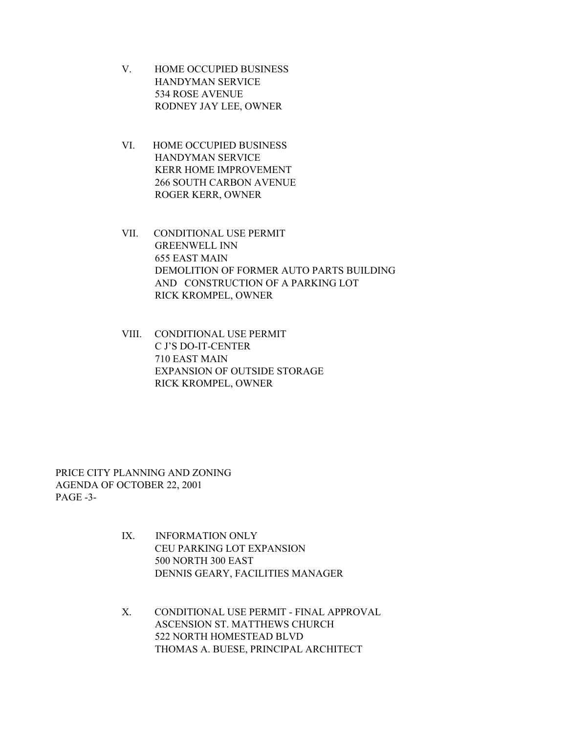- V. HOME OCCUPIED BUSINESS HANDYMAN SERVICE 534 ROSE AVENUE RODNEY JAY LEE, OWNER
- VI. HOME OCCUPIED BUSINESS HANDYMAN SERVICE KERR HOME IMPROVEMENT 266 SOUTH CARBON AVENUE ROGER KERR, OWNER
- VII. CONDITIONAL USE PERMIT GREENWELL INN 655 EAST MAIN DEMOLITION OF FORMER AUTO PARTS BUILDING AND CONSTRUCTION OF A PARKING LOT RICK KROMPEL, OWNER
- VIII. CONDITIONAL USE PERMIT C J'S DO-IT-CENTER 710 EAST MAIN EXPANSION OF OUTSIDE STORAGE RICK KROMPEL, OWNER

PRICE CITY PLANNING AND ZONING AGENDA OF OCTOBER 22, 2001 PAGE -3-

- IX. INFORMATION ONLY CEU PARKING LOT EXPANSION 500 NORTH 300 EAST DENNIS GEARY, FACILITIES MANAGER
- X. CONDITIONAL USE PERMIT FINAL APPROVAL ASCENSION ST. MATTHEWS CHURCH 522 NORTH HOMESTEAD BLVD THOMAS A. BUESE, PRINCIPAL ARCHITECT